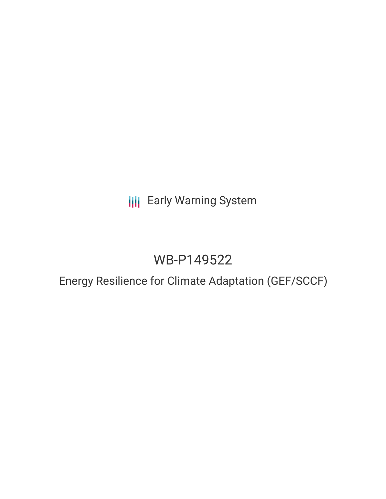**III** Early Warning System

# WB-P149522

Energy Resilience for Climate Adaptation (GEF/SCCF)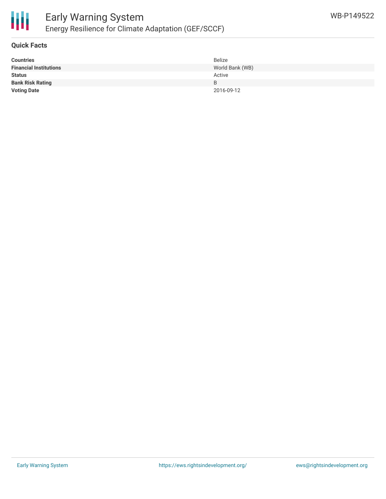

## **Quick Facts**

| <b>Countries</b>              | Belize          |
|-------------------------------|-----------------|
| <b>Financial Institutions</b> | World Bank (WB) |
| <b>Status</b>                 | Active          |
| <b>Bank Risk Rating</b>       | B               |
| <b>Voting Date</b>            | 2016-09-12      |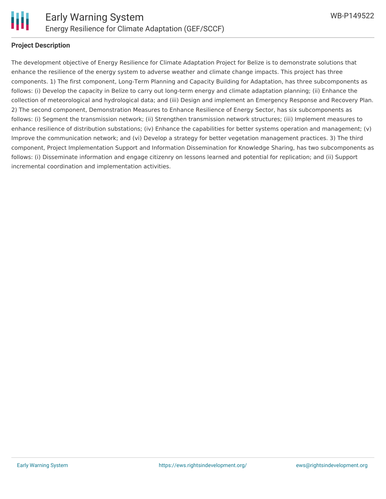

### **Project Description**

The development objective of Energy Resilience for Climate Adaptation Project for Belize is to demonstrate solutions that enhance the resilience of the energy system to adverse weather and climate change impacts. This project has three components. 1) The first component, Long-Term Planning and Capacity Building for Adaptation, has three subcomponents as follows: (i) Develop the capacity in Belize to carry out long-term energy and climate adaptation planning; (ii) Enhance the collection of meteorological and hydrological data; and (iii) Design and implement an Emergency Response and Recovery Plan. 2) The second component, Demonstration Measures to Enhance Resilience of Energy Sector, has six subcomponents as follows: (i) Segment the transmission network; (ii) Strengthen transmission network structures; (iii) Implement measures to enhance resilience of distribution substations; (iv) Enhance the capabilities for better systems operation and management; (v) Improve the communication network; and (vi) Develop a strategy for better vegetation management practices. 3) The third component, Project Implementation Support and Information Dissemination for Knowledge Sharing, has two subcomponents as follows: (i) Disseminate information and engage citizenry on lessons learned and potential for replication; and (ii) Support incremental coordination and implementation activities.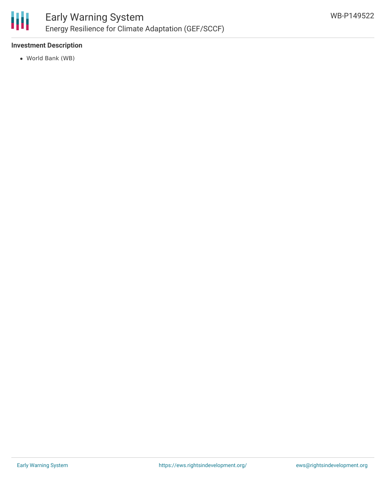

# **Investment Description**

World Bank (WB)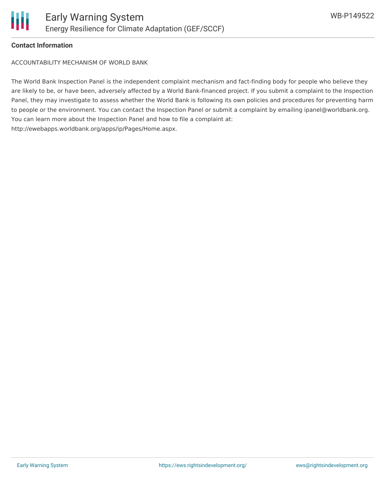

### **Contact Information**

ACCOUNTABILITY MECHANISM OF WORLD BANK

The World Bank Inspection Panel is the independent complaint mechanism and fact-finding body for people who believe they are likely to be, or have been, adversely affected by a World Bank-financed project. If you submit a complaint to the Inspection Panel, they may investigate to assess whether the World Bank is following its own policies and procedures for preventing harm to people or the environment. You can contact the Inspection Panel or submit a complaint by emailing ipanel@worldbank.org. You can learn more about the Inspection Panel and how to file a complaint at: http://ewebapps.worldbank.org/apps/ip/Pages/Home.aspx.